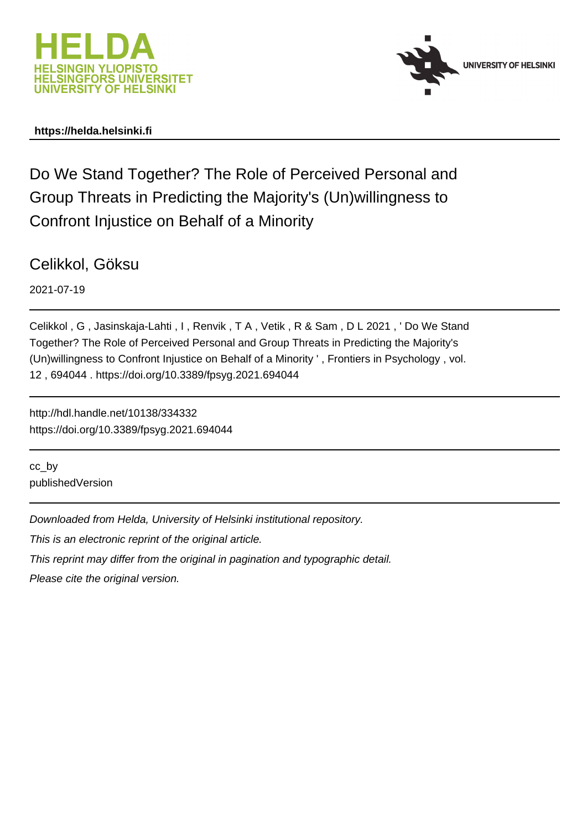



# **https://helda.helsinki.fi**

Do We Stand Together? The Role of Perceived Personal and Group Threats in Predicting the Majority's (Un)willingness to Confront Injustice on Behalf of a Minority

Celikkol, Göksu

2021-07-19

Celikkol , G , Jasinskaja-Lahti , I , Renvik , T A , Vetik , R & Sam , D L 2021 , ' Do We Stand Together? The Role of Perceived Personal and Group Threats in Predicting the Majority's (Un)willingness to Confront Injustice on Behalf of a Minority ' , Frontiers in Psychology , vol. 12 , 694044 . https://doi.org/10.3389/fpsyg.2021.694044

http://hdl.handle.net/10138/334332 https://doi.org/10.3389/fpsyg.2021.694044

cc\_by publishedVersion

Downloaded from Helda, University of Helsinki institutional repository.

This is an electronic reprint of the original article.

This reprint may differ from the original in pagination and typographic detail.

Please cite the original version.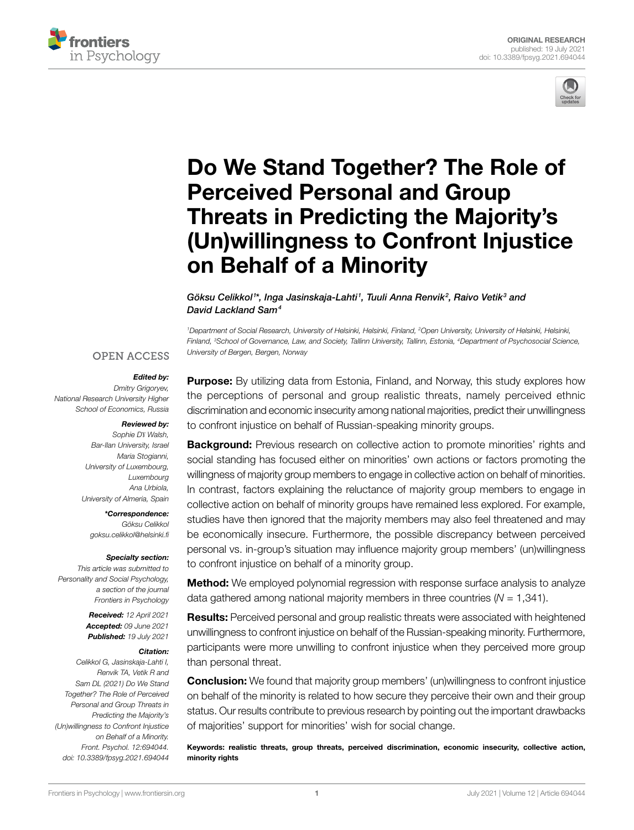



# [Do We Stand Together? The Role of](https://www.frontiersin.org/articles/10.3389/fpsyg.2021.694044/full)  [Perceived Personal and Group](https://www.frontiersin.org/articles/10.3389/fpsyg.2021.694044/full)  [Threats in Predicting the Majority's](https://www.frontiersin.org/articles/10.3389/fpsyg.2021.694044/full)  [\(Un\)willingness to Confront Injustice](https://www.frontiersin.org/articles/10.3389/fpsyg.2021.694044/full)  [on Behalf of a Minority](https://www.frontiersin.org/articles/10.3389/fpsyg.2021.694044/full)

Göksu Celikkol<sup>1\*</sup>, Inga Jasinskaja-Lahti<sup>1</sup>, Tuuli Anna Renvik<sup>2</sup>, Raivo Vetik<sup>3</sup> and *David Lackland Sam4*

<sup>1</sup>Department of Social Research, University of Helsinki, Helsinki, Finland, <sup>2</sup>Open University, University of Helsinki, Helsinki, *Finland, 3 School of Governance, Law, and Society, Tallinn University, Tallinn, Estonia, 4Department of Psychosocial Science, University of Bergen, Bergen, Norway*

#### **OPEN ACCESS**

#### *Edited by:*

*Dmitry Grigoryev, National Research University Higher School of Economics, Russia*

#### *Reviewed by:*

*Sophie Dɣ Walsh, Bar-Ilan University, Israel Maria Stogianni, University of Luxembourg, Luxembourg Ana Urbiola, University of Almeria, Spain*

*\*Correspondence: Göksu Celikkol [goksu.celikkol@helsinki.fi](mailto:goksu.celikkol@helsinki.fi)*

#### *Specialty section:*

*This article was submitted to Personality and Social Psychology, a section of the journal Frontiers in Psychology*

> *Received: 12 April 2021 Accepted: 09 June 2021 Published: 19 July 2021*

#### *Citation:*

*Celikkol G, Jasinskaja-Lahti I, Renvik TA, Vetik R and Sam DL (2021) Do We Stand Together? The Role of Perceived Personal and Group Threats in Predicting the Majority's (Un)willingness to Confront Injustice on Behalf of a Minority. Front. Psychol. 12:694044. [doi: 10.3389/fpsyg.2021.694044](https://doi.org/10.3389/fpsyg.2021.694044)*

**Purpose:** By utilizing data from Estonia, Finland, and Norway, this study explores how the perceptions of personal and group realistic threats, namely perceived ethnic discrimination and economic insecurity among national majorities, predict their unwillingness to confront injustice on behalf of Russian-speaking minority groups.

**Background:** Previous research on collective action to promote minorities' rights and social standing has focused either on minorities' own actions or factors promoting the willingness of majority group members to engage in collective action on behalf of minorities. In contrast, factors explaining the reluctance of majority group members to engage in collective action on behalf of minority groups have remained less explored. For example, studies have then ignored that the majority members may also feel threatened and may be economically insecure. Furthermore, the possible discrepancy between perceived personal vs. in-group's situation may influence majority group members' (un)willingness to confront injustice on behalf of a minority group.

**Method:** We employed polynomial regression with response surface analysis to analyze data gathered among national majority members in three countries (*N* = 1,341).

**Results:** Perceived personal and group realistic threats were associated with heightened unwillingness to confront injustice on behalf of the Russian-speaking minority. Furthermore, participants were more unwilling to confront injustice when they perceived more group than personal threat.

**Conclusion:** We found that majority group members' (un)willingness to confront injustice on behalf of the minority is related to how secure they perceive their own and their group status. Our results contribute to previous research by pointing out the important drawbacks of majorities' support for minorities' wish for social change.

Keywords: realistic threats, group threats, perceived discrimination, economic insecurity, collective action, minority rights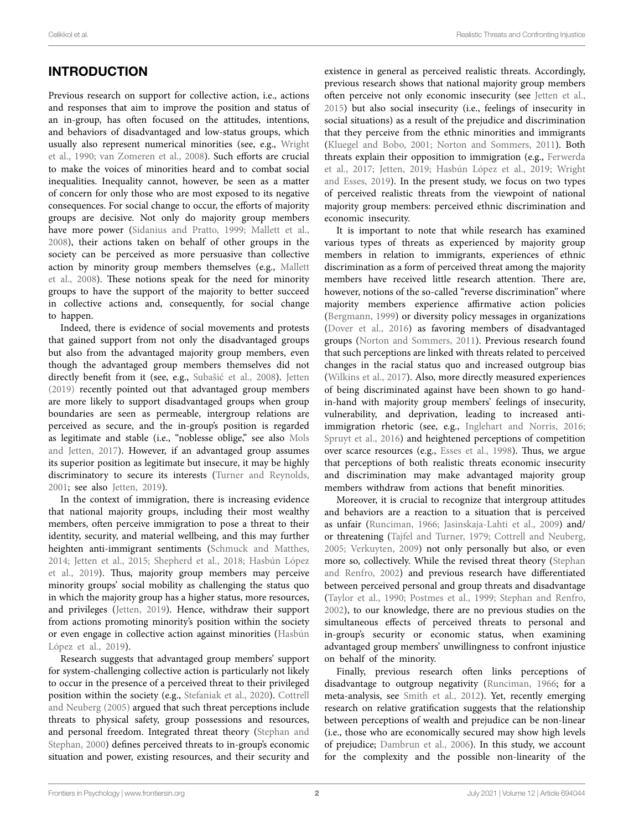#### Celikkol et al. **Realistic Threats and Confronting Injustice** Celikkol et al. **Realistic Threats and Confronting Injustice**

# INTRODUCTION

Previous research on support for collective action, i.e., actions and responses that aim to improve the position and status of an in-group, has often focused on the attitudes, intentions, and behaviors of disadvantaged and low-status groups, which usually also represent numerical minorities (see, e.g., Wright et al., 1990; van Zomeren et al., 2008). Such efforts are crucial to make the voices of minorities heard and to combat social inequalities. Inequality cannot, however, be seen as a matter of concern for only those who are most exposed to its negative consequences. For social change to occur, the efforts of majority groups are decisive. Not only do majority group members have more power (Sidanius and Pratto, 1999; Mallett et al., 2008), their actions taken on behalf of other groups in the society can be perceived as more persuasive than collective action by minority group members themselves (e.g., Mallett et al., 2008). These notions speak for the need for minority groups to have the support of the majority to better succeed in collective actions and, consequently, for social change to happen.

Indeed, there is evidence of social movements and protests that gained support from not only the disadvantaged groups but also from the advantaged majority group members, even though the advantaged group members themselves did not directly benefit from it (see, e.g., Subašić et al., 2008). Jetten (2019) recently pointed out that advantaged group members are more likely to support disadvantaged groups when group boundaries are seen as permeable, intergroup relations are perceived as secure, and the in-group's position is regarded as legitimate and stable (i.e., "noblesse oblige," see also Mols and Jetten, 2017). However, if an advantaged group assumes its superior position as legitimate but insecure, it may be highly discriminatory to secure its interests (Turner and Reynolds, 2001; see also Jetten, 2019).

In the context of immigration, there is increasing evidence that national majority groups, including their most wealthy members, often perceive immigration to pose a threat to their identity, security, and material wellbeing, and this may further heighten anti-immigrant sentiments (Schmuck and Matthes, 2014; Jetten et al., 2015; Shepherd et al., 2018; Hasbún López et al., 2019). Thus, majority group members may perceive minority groups' social mobility as challenging the status quo in which the majority group has a higher status, more resources, and privileges (Jetten, 2019). Hence, withdraw their support from actions promoting minority's position within the society or even engage in collective action against minorities (Hasbún López et al., 2019).

Research suggests that advantaged group members' support for system-challenging collective action is particularly not likely to occur in the presence of a perceived threat to their privileged position within the society (e.g., Stefaniak et al., 2020). Cottrell and Neuberg (2005) argued that such threat perceptions include threats to physical safety, group possessions and resources, and personal freedom. Integrated threat theory (Stephan and Stephan, 2000) defines perceived threats to in-group's economic situation and power, existing resources, and their security and existence in general as perceived realistic threats. Accordingly, previous research shows that national majority group members often perceive not only economic insecurity (see Jetten et al., 2015) but also social insecurity (i.e., feelings of insecurity in social situations) as a result of the prejudice and discrimination that they perceive from the ethnic minorities and immigrants (Kluegel and Bobo, 2001; Norton and Sommers, 2011). Both threats explain their opposition to immigration (e.g., Ferwerda et al., 2017; Jetten, 2019; Hasbún López et al., 2019; Wright and Esses, 2019). In the present study, we focus on two types of perceived realistic threats from the viewpoint of national majority group members: perceived ethnic discrimination and economic insecurity.

It is important to note that while research has examined various types of threats as experienced by majority group members in relation to immigrants, experiences of ethnic discrimination as a form of perceived threat among the majority members have received little research attention. There are, however, notions of the so-called "reverse discrimination" where majority members experience affirmative action policies (Bergmann, 1999) or diversity policy messages in organizations (Dover et al., 2016) as favoring members of disadvantaged groups (Norton and Sommers, 2011). Previous research found that such perceptions are linked with threats related to perceived changes in the racial status quo and increased outgroup bias (Wilkins et al., 2017). Also, more directly measured experiences of being discriminated against have been shown to go handin-hand with majority group members' feelings of insecurity, vulnerability, and deprivation, leading to increased antiimmigration rhetoric (see, e.g., Inglehart and Norris, 2016; Spruyt et al., 2016) and heightened perceptions of competition over scarce resources (e.g., Esses et al., 1998). Thus, we argue that perceptions of both realistic threats economic insecurity and discrimination may make advantaged majority group members withdraw from actions that benefit minorities.

Moreover, it is crucial to recognize that intergroup attitudes and behaviors are a reaction to a situation that is perceived as unfair (Runciman, 1966; Jasinskaja-Lahti et al., 2009) and/ or threatening (Tajfel and Turner, 1979; Cottrell and Neuberg, 2005; Verkuyten, 2009) not only personally but also, or even more so, collectively. While the revised threat theory (Stephan and Renfro, 2002) and previous research have differentiated between perceived personal and group threats and disadvantage (Taylor et al., 1990; Postmes et al., 1999; Stephan and Renfro, 2002), to our knowledge, there are no previous studies on the simultaneous effects of perceived threats to personal and in-group's security or economic status, when examining advantaged group members' unwillingness to confront injustice on behalf of the minority.

Finally, previous research often links perceptions of disadvantage to outgroup negativity (Runciman, 1966; for a meta-analysis, see Smith et al., 2012). Yet, recently emerging research on relative gratification suggests that the relationship between perceptions of wealth and prejudice can be non-linear (i.e., those who are economically secured may show high levels of prejudice; Dambrun et al., 2006). In this study, we account for the complexity and the possible non-linearity of the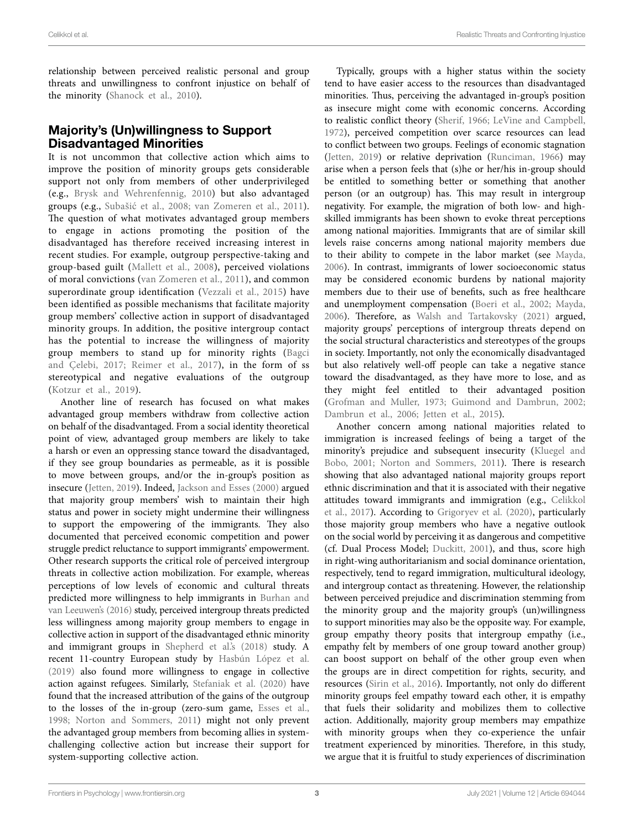relationship between perceived realistic personal and group threats and unwillingness to confront injustice on behalf of the minority (Shanock et al., 2010).

### Majority's (Un)willingness to Support Disadvantaged Minorities

It is not uncommon that collective action which aims to improve the position of minority groups gets considerable support not only from members of other underprivileged (e.g., Brysk and Wehrenfennig, 2010) but also advantaged groups (e.g., Subašić et al., 2008; van Zomeren et al., 2011). The question of what motivates advantaged group members to engage in actions promoting the position of the disadvantaged has therefore received increasing interest in recent studies. For example, outgroup perspective-taking and group-based guilt (Mallett et al., 2008), perceived violations of moral convictions (van Zomeren et al., 2011), and common superordinate group identification (Vezzali et al., 2015) have been identified as possible mechanisms that facilitate majority group members' collective action in support of disadvantaged minority groups. In addition, the positive intergroup contact has the potential to increase the willingness of majority group members to stand up for minority rights (Bagci and Çelebi, 2017; Reimer et al., 2017), in the form of ss stereotypical and negative evaluations of the outgroup (Kotzur et al., 2019).

Another line of research has focused on what makes advantaged group members withdraw from collective action on behalf of the disadvantaged. From a social identity theoretical point of view, advantaged group members are likely to take a harsh or even an oppressing stance toward the disadvantaged, if they see group boundaries as permeable, as it is possible to move between groups, and/or the in-group's position as insecure (Jetten, 2019). Indeed, Jackson and Esses (2000) argued that majority group members' wish to maintain their high status and power in society might undermine their willingness to support the empowering of the immigrants. They also documented that perceived economic competition and power struggle predict reluctance to support immigrants' empowerment. Other research supports the critical role of perceived intergroup threats in collective action mobilization. For example, whereas perceptions of low levels of economic and cultural threats predicted more willingness to help immigrants in Burhan and van Leeuwen's (2016) study, perceived intergroup threats predicted less willingness among majority group members to engage in collective action in support of the disadvantaged ethnic minority and immigrant groups in Shepherd et al's (2018) study. A recent 11-country European study by Hasbún López et al. (2019) also found more willingness to engage in collective action against refugees. Similarly, Stefaniak et al. (2020) have found that the increased attribution of the gains of the outgroup to the losses of the in-group (zero-sum game, Esses et al., 1998; Norton and Sommers, 2011) might not only prevent the advantaged group members from becoming allies in systemchallenging collective action but increase their support for system-supporting collective action.

Typically, groups with a higher status within the society tend to have easier access to the resources than disadvantaged minorities. Thus, perceiving the advantaged in-group's position as insecure might come with economic concerns. According to realistic conflict theory (Sherif, 1966; LeVine and Campbell, 1972), perceived competition over scarce resources can lead to conflict between two groups. Feelings of economic stagnation (Jetten, 2019) or relative deprivation (Runciman, 1966) may arise when a person feels that (s)he or her/his in-group should be entitled to something better or something that another person (or an outgroup) has. This may result in intergroup negativity. For example, the migration of both low- and highskilled immigrants has been shown to evoke threat perceptions among national majorities. Immigrants that are of similar skill levels raise concerns among national majority members due to their ability to compete in the labor market (see Mayda, 2006). In contrast, immigrants of lower socioeconomic status may be considered economic burdens by national majority members due to their use of benefits, such as free healthcare and unemployment compensation (Boeri et al., 2002; Mayda, 2006). Therefore, as Walsh and Tartakovsky (2021) argued, majority groups' perceptions of intergroup threats depend on the social structural characteristics and stereotypes of the groups in society. Importantly, not only the economically disadvantaged but also relatively well-off people can take a negative stance toward the disadvantaged, as they have more to lose, and as they might feel entitled to their advantaged position (Grofman and Muller, 1973; Guimond and Dambrun, 2002; Dambrun et al., 2006; Jetten et al., 2015).

Another concern among national majorities related to immigration is increased feelings of being a target of the minority's prejudice and subsequent insecurity (Kluegel and Bobo, 2001; Norton and Sommers, 2011). There is research showing that also advantaged national majority groups report ethnic discrimination and that it is associated with their negative attitudes toward immigrants and immigration (e.g., Celikkol et al., 2017). According to Grigoryev et al. (2020), particularly those majority group members who have a negative outlook on the social world by perceiving it as dangerous and competitive (cf. Dual Process Model; Duckitt, 2001), and thus, score high in right-wing authoritarianism and social dominance orientation, respectively, tend to regard immigration, multicultural ideology, and intergroup contact as threatening. However, the relationship between perceived prejudice and discrimination stemming from the minority group and the majority group's (un)willingness to support minorities may also be the opposite way. For example, group empathy theory posits that intergroup empathy (i.e., empathy felt by members of one group toward another group) can boost support on behalf of the other group even when the groups are in direct competition for rights, security, and resources (Sirin et al., 2016). Importantly, not only do different minority groups feel empathy toward each other, it is empathy that fuels their solidarity and mobilizes them to collective action. Additionally, majority group members may empathize with minority groups when they co-experience the unfair treatment experienced by minorities. Therefore, in this study, we argue that it is fruitful to study experiences of discrimination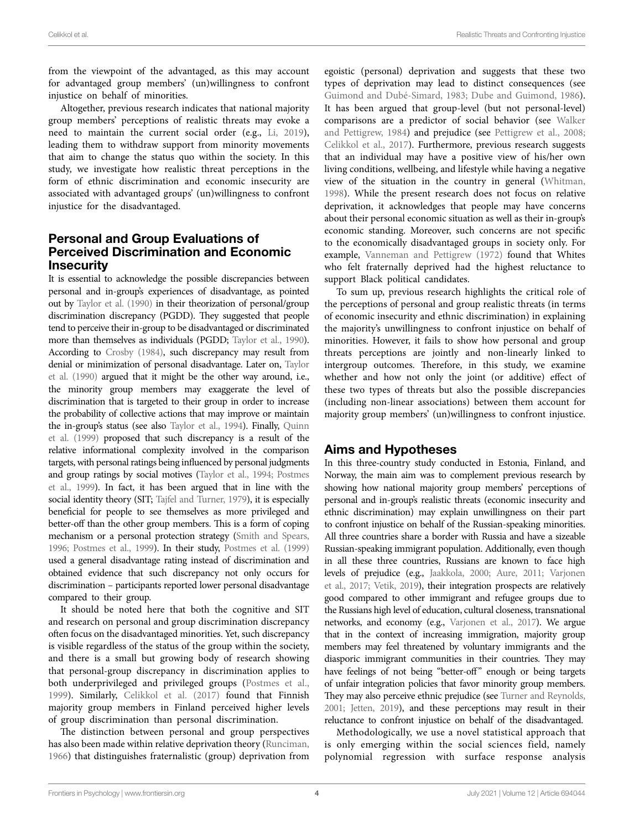from the viewpoint of the advantaged, as this may account for advantaged group members' (un)willingness to confront injustice on behalf of minorities.

Altogether, previous research indicates that national majority group members' perceptions of realistic threats may evoke a need to maintain the current social order (e.g., Li, 2019), leading them to withdraw support from minority movements that aim to change the status quo within the society. In this study, we investigate how realistic threat perceptions in the form of ethnic discrimination and economic insecurity are associated with advantaged groups' (un)willingness to confront injustice for the disadvantaged.

### Personal and Group Evaluations of Perceived Discrimination and Economic **Insecurity**

It is essential to acknowledge the possible discrepancies between personal and in-group's experiences of disadvantage, as pointed out by Taylor et al. (1990) in their theorization of personal/group discrimination discrepancy (PGDD). They suggested that people tend to perceive their in-group to be disadvantaged or discriminated more than themselves as individuals (PGDD; Taylor et al., 1990). According to Crosby (1984), such discrepancy may result from denial or minimization of personal disadvantage. Later on, Taylor et al. (1990) argued that it might be the other way around, i.e., the minority group members may exaggerate the level of discrimination that is targeted to their group in order to increase the probability of collective actions that may improve or maintain the in-group's status (see also Taylor et al., 1994). Finally, Quinn et al. (1999) proposed that such discrepancy is a result of the relative informational complexity involved in the comparison targets, with personal ratings being influenced by personal judgments and group ratings by social motives (Taylor et al., 1994; Postmes et al., 1999). In fact, it has been argued that in line with the social identity theory (SIT; Tajfel and Turner, 1979), it is especially beneficial for people to see themselves as more privileged and better-off than the other group members. This is a form of coping mechanism or a personal protection strategy (Smith and Spears, 1996; Postmes et al., 1999). In their study, Postmes et al. (1999) used a general disadvantage rating instead of discrimination and obtained evidence that such discrepancy not only occurs for discrimination – participants reported lower personal disadvantage compared to their group.

It should be noted here that both the cognitive and SIT and research on personal and group discrimination discrepancy often focus on the disadvantaged minorities. Yet, such discrepancy is visible regardless of the status of the group within the society, and there is a small but growing body of research showing that personal-group discrepancy in discrimination applies to both underprivileged and privileged groups (Postmes et al., 1999). Similarly, Celikkol et al. (2017) found that Finnish majority group members in Finland perceived higher levels of group discrimination than personal discrimination.

The distinction between personal and group perspectives has also been made within relative deprivation theory (Runciman, 1966) that distinguishes fraternalistic (group) deprivation from

egoistic (personal) deprivation and suggests that these two types of deprivation may lead to distinct consequences (see Guimond and Dubé-Simard, 1983; Dube and Guimond, 1986). It has been argued that group-level (but not personal-level) comparisons are a predictor of social behavior (see Walker and Pettigrew, 1984) and prejudice (see Pettigrew et al., 2008; Celikkol et al., 2017). Furthermore, previous research suggests that an individual may have a positive view of his/her own living conditions, wellbeing, and lifestyle while having a negative view of the situation in the country in general (Whitman, 1998). While the present research does not focus on relative deprivation, it acknowledges that people may have concerns about their personal economic situation as well as their in-group's economic standing. Moreover, such concerns are not specific to the economically disadvantaged groups in society only. For example, Vanneman and Pettigrew (1972) found that Whites who felt fraternally deprived had the highest reluctance to support Black political candidates.

To sum up, previous research highlights the critical role of the perceptions of personal and group realistic threats (in terms of economic insecurity and ethnic discrimination) in explaining the majority's unwillingness to confront injustice on behalf of minorities. However, it fails to show how personal and group threats perceptions are jointly and non-linearly linked to intergroup outcomes. Therefore, in this study, we examine whether and how not only the joint (or additive) effect of these two types of threats but also the possible discrepancies (including non-linear associations) between them account for majority group members' (un)willingness to confront injustice.

#### Aims and Hypotheses

In this three-country study conducted in Estonia, Finland, and Norway, the main aim was to complement previous research by showing how national majority group members' perceptions of personal and in-group's realistic threats (economic insecurity and ethnic discrimination) may explain unwillingness on their part to confront injustice on behalf of the Russian-speaking minorities. All three countries share a border with Russia and have a sizeable Russian-speaking immigrant population. Additionally, even though in all these three countries, Russians are known to face high levels of prejudice (e.g., Jaakkola, 2000; Aure, 2011; Varjonen et al., 2017; Vetik, 2019), their integration prospects are relatively good compared to other immigrant and refugee groups due to the Russians high level of education, cultural closeness, transnational networks, and economy (e.g., Varjonen et al., 2017). We argue that in the context of increasing immigration, majority group members may feel threatened by voluntary immigrants and the diasporic immigrant communities in their countries. They may have feelings of not being "better-off" enough or being targets of unfair integration policies that favor minority group members. They may also perceive ethnic prejudice (see Turner and Reynolds, 2001; Jetten, 2019), and these perceptions may result in their reluctance to confront injustice on behalf of the disadvantaged.

Methodologically, we use a novel statistical approach that is only emerging within the social sciences field, namely polynomial regression with surface response analysis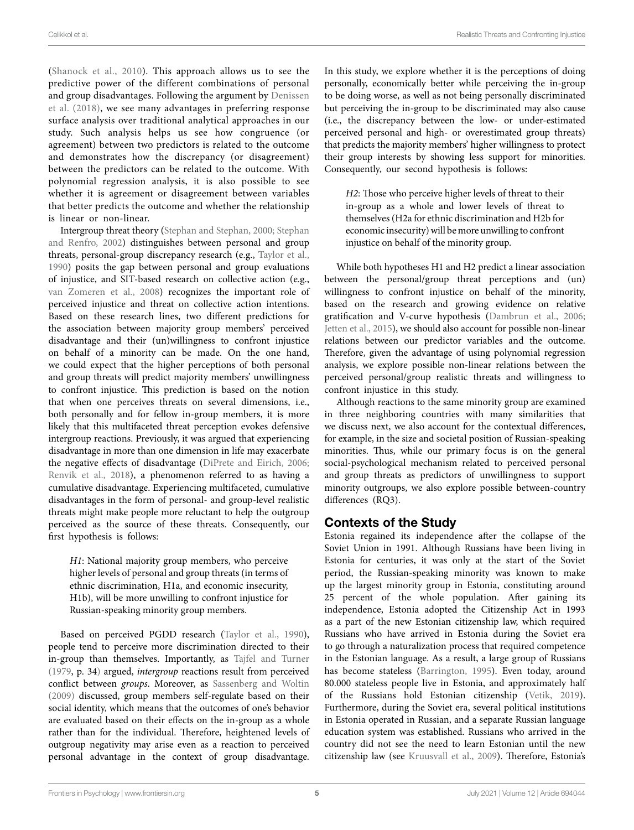(Shanock et al., 2010). This approach allows us to see the predictive power of the different combinations of personal and group disadvantages. Following the argument by Denissen et al. (2018), we see many advantages in preferring response surface analysis over traditional analytical approaches in our study. Such analysis helps us see how congruence (or agreement) between two predictors is related to the outcome and demonstrates how the discrepancy (or disagreement) between the predictors can be related to the outcome. With polynomial regression analysis, it is also possible to see whether it is agreement or disagreement between variables that better predicts the outcome and whether the relationship is linear or non-linear.

Intergroup threat theory (Stephan and Stephan, 2000; Stephan and Renfro, 2002) distinguishes between personal and group threats, personal-group discrepancy research (e.g., Taylor et al., 1990) posits the gap between personal and group evaluations of injustice, and SIT-based research on collective action (e.g., van Zomeren et al., 2008) recognizes the important role of perceived injustice and threat on collective action intentions. Based on these research lines, two different predictions for the association between majority group members' perceived disadvantage and their (un)willingness to confront injustice on behalf of a minority can be made. On the one hand, we could expect that the higher perceptions of both personal and group threats will predict majority members' unwillingness to confront injustice. This prediction is based on the notion that when one perceives threats on several dimensions, i.e., both personally and for fellow in-group members, it is more likely that this multifaceted threat perception evokes defensive intergroup reactions. Previously, it was argued that experiencing disadvantage in more than one dimension in life may exacerbate the negative effects of disadvantage (DiPrete and Eirich, 2006; Renvik et al., 2018), a phenomenon referred to as having a cumulative disadvantage. Experiencing multifaceted, cumulative disadvantages in the form of personal- and group-level realistic threats might make people more reluctant to help the outgroup perceived as the source of these threats. Consequently, our first hypothesis is follows:

*H1*: National majority group members, who perceive higher levels of personal and group threats (in terms of ethnic discrimination, H1a, and economic insecurity, H1b), will be more unwilling to confront injustice for Russian-speaking minority group members.

Based on perceived PGDD research (Taylor et al., 1990), people tend to perceive more discrimination directed to their in-group than themselves. Importantly, as Tajfel and Turner (1979, p. 34) argued, *intergroup* reactions result from perceived conflict between *groups*. Moreover, as Sassenberg and Woltin (2009) discussed, group members self-regulate based on their social identity, which means that the outcomes of one's behavior are evaluated based on their effects on the in-group as a whole rather than for the individual. Therefore, heightened levels of outgroup negativity may arise even as a reaction to perceived personal advantage in the context of group disadvantage. In this study, we explore whether it is the perceptions of doing personally, economically better while perceiving the in-group to be doing worse, as well as not being personally discriminated but perceiving the in-group to be discriminated may also cause (i.e., the discrepancy between the low- or under-estimated perceived personal and high- or overestimated group threats) that predicts the majority members' higher willingness to protect their group interests by showing less support for minorities. Consequently, our second hypothesis is follows:

*H2*: Those who perceive higher levels of threat to their in-group as a whole and lower levels of threat to themselves (H2a for ethnic discrimination and H2b for economic insecurity) will be more unwilling to confront injustice on behalf of the minority group.

While both hypotheses H1 and H2 predict a linear association between the personal/group threat perceptions and (un) willingness to confront injustice on behalf of the minority, based on the research and growing evidence on relative gratification and V-curve hypothesis (Dambrun et al., 2006; Jetten et al., 2015), we should also account for possible non-linear relations between our predictor variables and the outcome. Therefore, given the advantage of using polynomial regression analysis, we explore possible non-linear relations between the perceived personal/group realistic threats and willingness to confront injustice in this study.

Although reactions to the same minority group are examined in three neighboring countries with many similarities that we discuss next, we also account for the contextual differences, for example, in the size and societal position of Russian-speaking minorities. Thus, while our primary focus is on the general social-psychological mechanism related to perceived personal and group threats as predictors of unwillingness to support minority outgroups, we also explore possible between-country differences (RQ3).

## Contexts of the Study

Estonia regained its independence after the collapse of the Soviet Union in 1991. Although Russians have been living in Estonia for centuries, it was only at the start of the Soviet period, the Russian-speaking minority was known to make up the largest minority group in Estonia, constituting around 25 percent of the whole population. After gaining its independence, Estonia adopted the Citizenship Act in 1993 as a part of the new Estonian citizenship law, which required Russians who have arrived in Estonia during the Soviet era to go through a naturalization process that required competence in the Estonian language. As a result, a large group of Russians has become stateless (Barrington, 1995). Even today, around 80.000 stateless people live in Estonia, and approximately half of the Russians hold Estonian citizenship (Vetik, 2019). Furthermore, during the Soviet era, several political institutions in Estonia operated in Russian, and a separate Russian language education system was established. Russians who arrived in the country did not see the need to learn Estonian until the new citizenship law (see Kruusvall et al., 2009). Therefore, Estonia's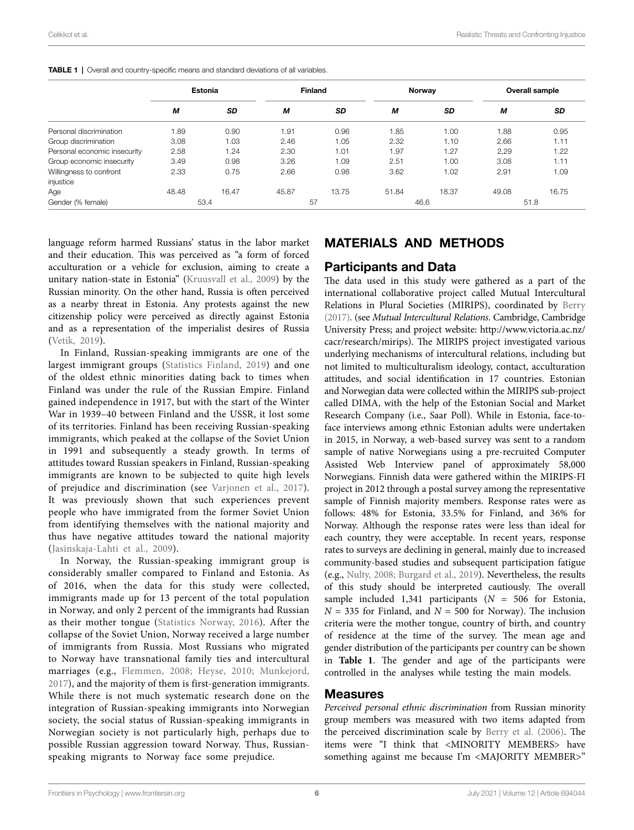|                                      | Estonia |           | <b>Finland</b> |           | Norway |       | Overall sample |       |
|--------------------------------------|---------|-----------|----------------|-----------|--------|-------|----------------|-------|
|                                      | M       | <b>SD</b> | M              | <b>SD</b> | М      | SD    | М              | SD    |
| Personal discrimination              | 1.89    | 0.90      | l.91           | 0.96      | 1.85   | 1.00  | 1.88           | 0.95  |
| Group discrimination                 | 3.08    | 1.03      | 2.46           | 1.05      | 2.32   | 1.10  | 2.66           | 1.11  |
| Personal economic insecurity         | 2.58    | 1.24      | 2.30           | 1.01      | 1.97   | 1.27  | 2,29           | 1.22  |
| Group economic insecurity            | 3.49    | 0.98      | 3.26           | 1.09      | 2.51   | 1.00  | 3.08           | 1.11  |
| Willingness to confront<br>injustice | 2.33    | 0.75      | 2.66           | 0.98      | 3.62   | 1.02  | 2.91           | 1.09  |
| Age                                  | 48.48   | 16.47     | 45.87          | 13.75     | 51.84  | 18.37 | 49.08          | 16.75 |
| Gender (% female)                    | 53.4    |           | 57             |           | 46.6   |       | 51.8           |       |

**TABLE 1** | Overall and country-specific means and standard deviations of all variables.

language reform harmed Russians' status in the labor market and their education. This was perceived as "a form of forced acculturation or a vehicle for exclusion, aiming to create a unitary nation-state in Estonia" (Kruusvall et al., 2009) by the Russian minority. On the other hand, Russia is often perceived as a nearby threat in Estonia. Any protests against the new citizenship policy were perceived as directly against Estonia and as a representation of the imperialist desires of Russia (Vetik, 2019).

In Finland, Russian-speaking immigrants are one of the largest immigrant groups (Statistics Finland, 2019) and one of the oldest ethnic minorities dating back to times when Finland was under the rule of the Russian Empire. Finland gained independence in 1917, but with the start of the Winter War in 1939–40 between Finland and the USSR, it lost some of its territories. Finland has been receiving Russian-speaking immigrants, which peaked at the collapse of the Soviet Union in 1991 and subsequently a steady growth. In terms of attitudes toward Russian speakers in Finland, Russian-speaking immigrants are known to be subjected to quite high levels of prejudice and discrimination (see Varjonen et al., 2017). It was previously shown that such experiences prevent people who have immigrated from the former Soviet Union from identifying themselves with the national majority and thus have negative attitudes toward the national majority (Jasinskaja-Lahti et al., 2009).

In Norway, the Russian-speaking immigrant group is considerably smaller compared to Finland and Estonia. As of 2016, when the data for this study were collected, immigrants made up for 13 percent of the total population in Norway, and only 2 percent of the immigrants had Russian as their mother tongue (Statistics Norway, 2016). After the collapse of the Soviet Union, Norway received a large number of immigrants from Russia. Most Russians who migrated to Norway have transnational family ties and intercultural marriages (e.g., Flemmen, 2008; Heyse, 2010; Munkejord, 2017), and the majority of them is first-generation immigrants. While there is not much systematic research done on the integration of Russian-speaking immigrants into Norwegian society, the social status of Russian-speaking immigrants in Norwegian society is not particularly high, perhaps due to possible Russian aggression toward Norway. Thus, Russianspeaking migrants to Norway face some prejudice.

### MATERIALS AND METHODS

#### Participants and Data

The data used in this study were gathered as a part of the international collaborative project called Mutual Intercultural Relations in Plural Societies (MIRIPS), coordinated by Berry (2017). (see *Mutual Intercultural Relations*. Cambridge, Cambridge University Press; and project website: [http://www.victoria.ac.nz/](http://www.victoria.ac.nz/cacr/research/mirips) [cacr/research/mirips](http://www.victoria.ac.nz/cacr/research/mirips)). The MIRIPS project investigated various underlying mechanisms of intercultural relations, including but not limited to multiculturalism ideology, contact, acculturation attitudes, and social identification in 17 countries. Estonian and Norwegian data were collected within the MIRIPS sub-project called DIMA, with the help of the Estonian Social and Market Research Company (i.e., Saar Poll). While in Estonia, face-toface interviews among ethnic Estonian adults were undertaken in 2015, in Norway, a web-based survey was sent to a random sample of native Norwegians using a pre-recruited Computer Assisted Web Interview panel of approximately 58,000 Norwegians. Finnish data were gathered within the MIRIPS-FI project in 2012 through a postal survey among the representative sample of Finnish majority members. Response rates were as follows: 48% for Estonia, 33.5% for Finland, and 36% for Norway. Although the response rates were less than ideal for each country, they were acceptable. In recent years, response rates to surveys are declining in general, mainly due to increased community-based studies and subsequent participation fatigue (e.g., Nulty, 2008; Burgard et al., 2019). Nevertheless, the results of this study should be interpreted cautiously. The overall sample included 1,341 participants ( $N = 506$  for Estonia,  $N = 335$  for Finland, and  $N = 500$  for Norway). The inclusion criteria were the mother tongue, country of birth, and country of residence at the time of the survey. The mean age and gender distribution of the participants per country can be shown in **Table 1**. The gender and age of the participants were controlled in the analyses while testing the main models.

#### Measures

*Perceived personal ethnic discrimination* from Russian minority group members was measured with two items adapted from the perceived discrimination scale by Berry et al. (2006). The items were "I think that <MINORITY MEMBERS> have something against me because I'm <MAJORITY MEMBER>"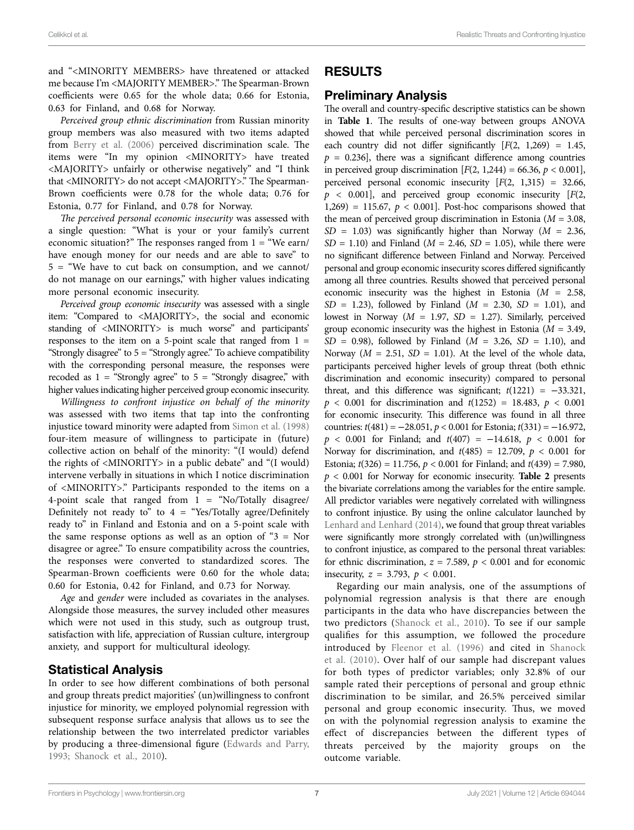and "<MINORITY MEMBERS> have threatened or attacked me because I'm <MAJORITY MEMBER>." The Spearman-Brown coefficients were 0.65 for the whole data; 0.66 for Estonia, 0.63 for Finland, and 0.68 for Norway.

*Perceived group ethnic discrimination* from Russian minority group members was also measured with two items adapted from Berry et al. (2006) perceived discrimination scale. The items were "In my opinion <MINORITY> have treated <MAJORITY> unfairly or otherwise negatively" and "I think that <MINORITY> do not accept <MAJORITY>." The Spearman-Brown coefficients were 0.78 for the whole data; 0.76 for Estonia, 0.77 for Finland, and 0.78 for Norway.

*The perceived personal economic insecurity* was assessed with a single question: "What is your or your family's current economic situation?" The responses ranged from  $1 =$  "We earn/ have enough money for our needs and are able to save" to 5 = "We have to cut back on consumption, and we cannot/ do not manage on our earnings," with higher values indicating more personal economic insecurity.

*Perceived group economic insecurity* was assessed with a single item: "Compared to <MAJORITY>, the social and economic standing of <MINORITY> is much worse" and participants' responses to the item on a 5-point scale that ranged from  $1 =$ "Strongly disagree" to  $5 =$  "Strongly agree." To achieve compatibility with the corresponding personal measure, the responses were recoded as  $1 =$  "Strongly agree" to  $5 =$  "Strongly disagree," with higher values indicating higher perceived group economic insecurity.

*Willingness to confront injustice on behalf of the minority* was assessed with two items that tap into the confronting injustice toward minority were adapted from Simon et al. (1998) four-item measure of willingness to participate in (future) collective action on behalf of the minority: "(I would) defend the rights of <MINORITY> in a public debate" and "(I would) intervene verbally in situations in which I notice discrimination of <MINORITY>." Participants responded to the items on a 4-point scale that ranged from  $1 =$  "No/Totally disagree/ Definitely not ready to" to  $4 =$  "Yes/Totally agree/Definitely ready to" in Finland and Estonia and on a 5-point scale with the same response options as well as an option of " $3 =$  Nor disagree or agree." To ensure compatibility across the countries, the responses were converted to standardized scores. The Spearman-Brown coefficients were 0.60 for the whole data; 0.60 for Estonia, 0.42 for Finland, and 0.73 for Norway.

*Age* and *gender* were included as covariates in the analyses. Alongside those measures, the survey included other measures which were not used in this study, such as outgroup trust, satisfaction with life, appreciation of Russian culture, intergroup anxiety, and support for multicultural ideology.

#### Statistical Analysis

In order to see how different combinations of both personal and group threats predict majorities' (un)willingness to confront injustice for minority, we employed polynomial regression with subsequent response surface analysis that allows us to see the relationship between the two interrelated predictor variables by producing a three-dimensional figure (Edwards and Parry, 1993; Shanock et al., 2010).

### RESULTS

#### Preliminary Analysis

The overall and country-specific descriptive statistics can be shown in **Table 1**. The results of one-way between groups ANOVA showed that while perceived personal discrimination scores in each country did not differ significantly  $[F(2, 1,269) = 1.45,$  $p = 0.236$ , there was a significant difference among countries in perceived group discrimination  $[F(2, 1,244) = 66.36, p < 0.001]$ , perceived personal economic insecurity [*F*(2, 1,315) = 32.66, *p* < 0.001], and perceived group economic insecurity [*F*(2, 1,269) = 115.67,  $p < 0.001$ ]. Post-hoc comparisons showed that the mean of perceived group discrimination in Estonia (*M* = 3.08,  $SD = 1.03$ ) was significantly higher than Norway ( $M = 2.36$ ,  $SD = 1.10$ ) and Finland ( $M = 2.46$ ,  $SD = 1.05$ ), while there were no significant difference between Finland and Norway. Perceived personal and group economic insecurity scores differed significantly among all three countries. Results showed that perceived personal economic insecurity was the highest in Estonia  $(M = 2.58,$ *SD* = 1.23), followed by Finland (*M* = 2.30, *SD* = 1.01), and lowest in Norway ( $M = 1.97$ ,  $SD = 1.27$ ). Similarly, perceived group economic insecurity was the highest in Estonia  $(M = 3.49,$ *SD* = 0.98), followed by Finland (*M* = 3.26, *SD* = 1.10), and Norway ( $M = 2.51$ ,  $SD = 1.01$ ). At the level of the whole data, participants perceived higher levels of group threat (both ethnic discrimination and economic insecurity) compared to personal threat, and this difference was significant;  $t(1221) = -33.321$ , *p* < 0.001 for discrimination and *t*(1252) = 18.483, *p* < 0.001 for economic insecurity. This difference was found in all three countries: *t*(481) = −28.051, *p* < 0.001 for Estonia; *t*(331) = −16.972, *p* < 0.001 for Finland; and *t*(407) = −14.618, *p* < 0.001 for Norway for discrimination, and  $t(485) = 12.709$ ,  $p < 0.001$  for Estonia; *t*(326) = 11.756, *p* < 0.001 for Finland; and *t*(439) = 7.980, *p* < 0.001 for Norway for economic insecurity. **Table 2** presents the bivariate correlations among the variables for the entire sample. All predictor variables were negatively correlated with willingness to confront injustice. By using the online calculator launched by Lenhard and Lenhard (2014), we found that group threat variables were significantly more strongly correlated with (un)willingness to confront injustice, as compared to the personal threat variables: for ethnic discrimination,  $z = 7.589$ ,  $p < 0.001$  and for economic insecurity,  $z = 3.793$ ,  $p < 0.001$ .

Regarding our main analysis, one of the assumptions of polynomial regression analysis is that there are enough participants in the data who have discrepancies between the two predictors (Shanock et al., 2010). To see if our sample qualifies for this assumption, we followed the procedure introduced by Fleenor et al. (1996) and cited in Shanock et al. (2010). Over half of our sample had discrepant values for both types of predictor variables; only 32.8% of our sample rated their perceptions of personal and group ethnic discrimination to be similar, and 26.5% perceived similar personal and group economic insecurity. Thus, we moved on with the polynomial regression analysis to examine the effect of discrepancies between the different types of threats perceived by the majority groups on the outcome variable.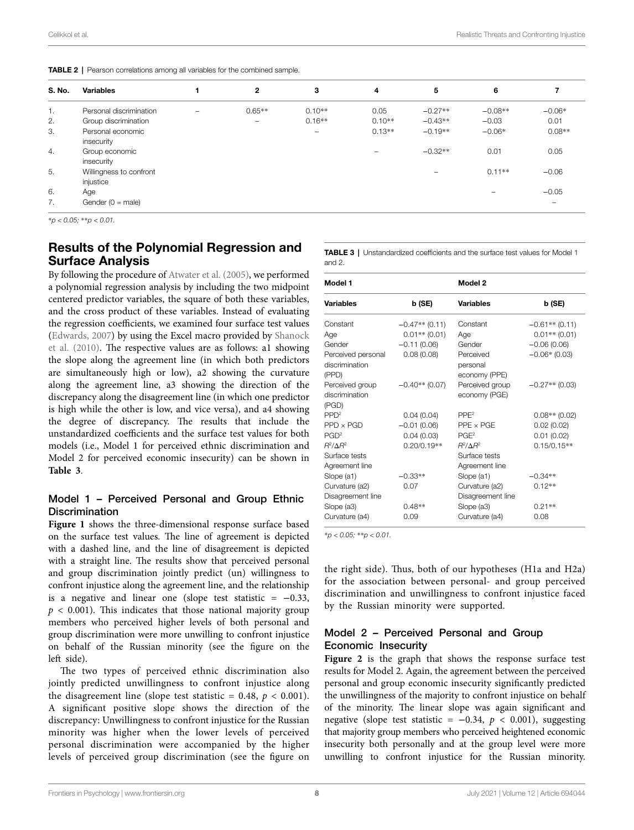|  |  |  | <b>TABLE 2</b>   Pearson correlations among all variables for the combined sample. |
|--|--|--|------------------------------------------------------------------------------------|
|  |  |  |                                                                                    |

| S. No. | <b>Variables</b>                     |   | $\mathbf{2}$             | 3                        | 4        | 5         | 6         |                          |
|--------|--------------------------------------|---|--------------------------|--------------------------|----------|-----------|-----------|--------------------------|
| 1.     | Personal discrimination              | - | $0.65**$                 | $0.10**$                 | 0.05     | $-0.27**$ | $-0.08**$ | $-0.06*$                 |
| 2.     | Group discrimination                 |   | $\overline{\phantom{0}}$ | $0.16**$                 | $0.10**$ | $-0.43**$ | $-0.03$   | 0.01                     |
| 3.     | Personal economic<br>insecurity      |   |                          | $\overline{\phantom{m}}$ | $0.13**$ | $-0.19**$ | $-0.06*$  | $0.08**$                 |
| 4.     | Group economic<br>insecurity         |   |                          |                          |          | $-0.32**$ | 0.01      | 0.05                     |
| 5.     | Willingness to confront<br>injustice |   |                          |                          |          | -         | $0.11**$  | $-0.06$                  |
| 6.     | Age                                  |   |                          |                          |          |           |           | $-0.05$                  |
| 7.     | Gender $(0 = male)$                  |   |                          |                          |          |           |           | $\overline{\phantom{0}}$ |

\**p < 0.05;* \*\**p < 0.01.*

### Results of the Polynomial Regression and Surface Analysis

By following the procedure of Atwater et al. (2005), we performed a polynomial regression analysis by including the two midpoint centered predictor variables, the square of both these variables, and the cross product of these variables. Instead of evaluating the regression coefficients, we examined four surface test values (Edwards, 2007) by using the Excel macro provided by Shanock et al. (2010). The respective values are as follows: a1 showing the slope along the agreement line (in which both predictors are simultaneously high or low), a2 showing the curvature along the agreement line, a3 showing the direction of the discrepancy along the disagreement line (in which one predictor is high while the other is low, and vice versa), and a4 showing the degree of discrepancy. The results that include the unstandardized coefficients and the surface test values for both models (i.e., Model 1 for perceived ethnic discrimination and Model 2 for perceived economic insecurity) can be shown in **Table 3**.

#### Model 1 – Perceived Personal and Group Ethnic **Discrimination**

Figure 1 shows the three-dimensional response surface based on the surface test values. The line of agreement is depicted with a dashed line, and the line of disagreement is depicted with a straight line. The results show that perceived personal and group discrimination jointly predict (un) willingness to confront injustice along the agreement line, and the relationship is a negative and linear one (slope test statistic =  $-0.33$ ,  $p < 0.001$ ). This indicates that those national majority group members who perceived higher levels of both personal and group discrimination were more unwilling to confront injustice on behalf of the Russian minority (see the figure on the left side).

The two types of perceived ethnic discrimination also jointly predicted unwillingness to confront injustice along the disagreement line (slope test statistic =  $0.48$ ,  $p < 0.001$ ). A significant positive slope shows the direction of the discrepancy: Unwillingness to confront injustice for the Russian minority was higher when the lower levels of perceived personal discrimination were accompanied by the higher levels of perceived group discrimination (see the figure on TABLE 3 | Unstandardized coefficients and the surface test values for Model 1 and 2.

|                  | Model 2                                         |                                                   |  |  |
|------------------|-------------------------------------------------|---------------------------------------------------|--|--|
| b (SE)           | Variables                                       | b (SE)                                            |  |  |
| $-0.47**$ (0.11) | Constant                                        | $-0.61**$ (0.11)                                  |  |  |
| $0.01**$ (0.01)  | Age                                             | $0.01**$ (0.01)                                   |  |  |
| $-0.11(0.06)$    | Gender                                          | $-0.06(0.06)$                                     |  |  |
| 0.08(0.08)       | Perceived                                       | $-0.06*(0.03)$                                    |  |  |
|                  | personal                                        |                                                   |  |  |
|                  |                                                 |                                                   |  |  |
|                  |                                                 | $-0.27**$ (0.03)                                  |  |  |
|                  |                                                 |                                                   |  |  |
|                  | PPE <sup>2</sup>                                | $0.08**$ (0.02)                                   |  |  |
|                  | $PPE \times PGE$                                | 0.02(0.02)                                        |  |  |
| 0.04(0.03)       | PGF <sup>2</sup>                                | 0.01(0.02)                                        |  |  |
| $0.20/0.19**$    | $R^2/\Delta R^2$                                | $0.15/0.15**$                                     |  |  |
|                  | Surface tests                                   |                                                   |  |  |
|                  | Agreement line                                  |                                                   |  |  |
| $-0.33**$        | Slope (a1)                                      | $-0.34**$                                         |  |  |
| 0.07             | Curvature (a2)                                  | $0.12**$                                          |  |  |
|                  | Disagreement line                               |                                                   |  |  |
| $0.48**$         | Slope (a3)                                      | $0.21**$                                          |  |  |
| 0.09             | Curvature (a4)                                  | 0.08                                              |  |  |
|                  | $-0.40**$ (0.07)<br>0.04(0.04)<br>$-0.01(0.06)$ | economy (PPE)<br>Perceived group<br>economy (PGE) |  |  |

\**p < 0.05;* \*\**p < 0.01.*

the right side). Thus, both of our hypotheses (H1a and H2a) for the association between personal- and group perceived discrimination and unwillingness to confront injustice faced by the Russian minority were supported.

#### Model 2 – Perceived Personal and Group Economic Insecurity

Figure 2 is the graph that shows the response surface test results for Model 2. Again, the agreement between the perceived personal and group economic insecurity significantly predicted the unwillingness of the majority to confront injustice on behalf of the minority. The linear slope was again significant and negative (slope test statistic = −0.34, *p* < 0.001), suggesting that majority group members who perceived heightened economic insecurity both personally and at the group level were more unwilling to confront injustice for the Russian minority.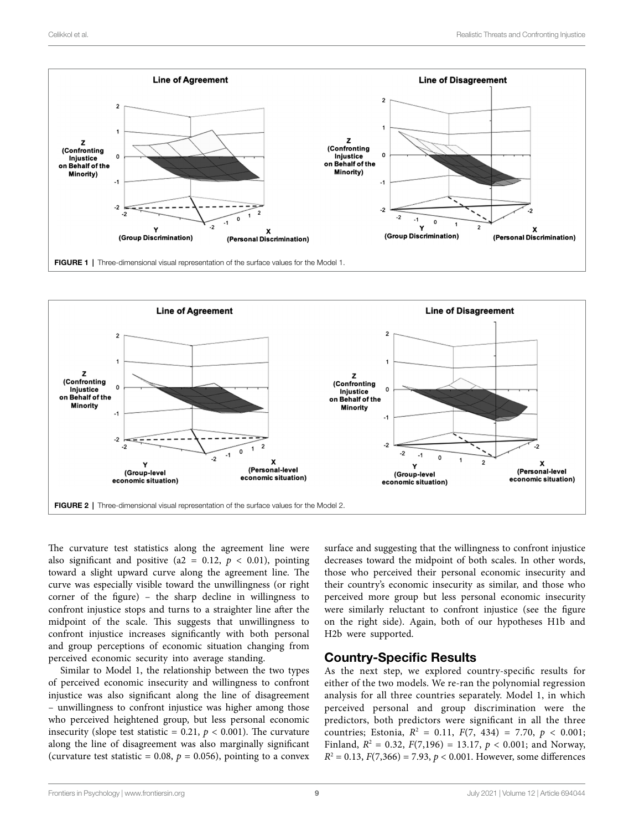



The curvature test statistics along the agreement line were also significant and positive (a2 =  $0.12$ ,  $p < 0.01$ ), pointing toward a slight upward curve along the agreement line. The curve was especially visible toward the unwillingness (or right corner of the figure) – the sharp decline in willingness to confront injustice stops and turns to a straighter line after the midpoint of the scale. This suggests that unwillingness to confront injustice increases significantly with both personal and group perceptions of economic situation changing from perceived economic security into average standing.

Similar to Model 1, the relationship between the two types of perceived economic insecurity and willingness to confront injustice was also significant along the line of disagreement – unwillingness to confront injustice was higher among those who perceived heightened group, but less personal economic insecurity (slope test statistic =  $0.21$ ,  $p < 0.001$ ). The curvature along the line of disagreement was also marginally significant (curvature test statistic =  $0.08$ ,  $p = 0.056$ ), pointing to a convex

surface and suggesting that the willingness to confront injustice decreases toward the midpoint of both scales. In other words, those who perceived their personal economic insecurity and their country's economic insecurity as similar, and those who perceived more group but less personal economic insecurity were similarly reluctant to confront injustice (see the figure on the right side). Again, both of our hypotheses H1b and H2b were supported.

#### Country-Specific Results

As the next step, we explored country-specific results for either of the two models. We re-ran the polynomial regression analysis for all three countries separately. Model 1, in which perceived personal and group discrimination were the predictors, both predictors were significant in all the three countries; Estonia,  $R^2 = 0.11$ ,  $F(7, 434) = 7.70$ ,  $p < 0.001$ ; Finland,  $R^2 = 0.32$ ,  $F(7,196) = 13.17$ ,  $p < 0.001$ ; and Norway,  $R^2 = 0.13$ ,  $F(7,366) = 7.93$ ,  $p < 0.001$ . However, some differences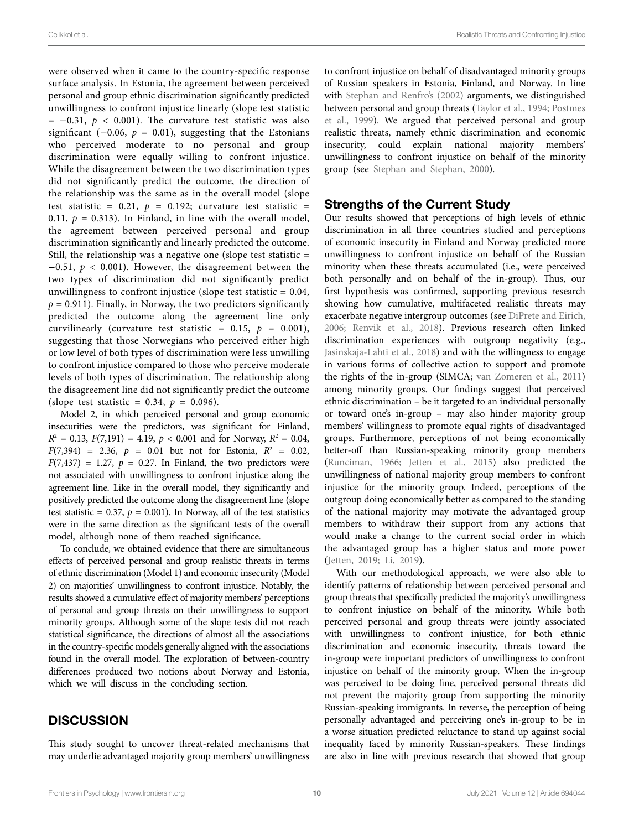were observed when it came to the country-specific response surface analysis. In Estonia, the agreement between perceived personal and group ethnic discrimination significantly predicted unwillingness to confront injustice linearly (slope test statistic  $= -0.31, p < 0.001$ ). The curvature test statistic was also significant  $(-0.06, p = 0.01)$ , suggesting that the Estonians who perceived moderate to no personal and group discrimination were equally willing to confront injustice. While the disagreement between the two discrimination types did not significantly predict the outcome, the direction of the relationship was the same as in the overall model (slope test statistic =  $0.21$ ,  $p = 0.192$ ; curvature test statistic = 0.11,  $p = 0.313$ ). In Finland, in line with the overall model, the agreement between perceived personal and group discrimination significantly and linearly predicted the outcome. Still, the relationship was a negative one (slope test statistic =  $-0.51$ ,  $p < 0.001$ ). However, the disagreement between the two types of discrimination did not significantly predict unwillingness to confront injustice (slope test statistic  $= 0.04$ ,  $p = 0.911$ ). Finally, in Norway, the two predictors significantly predicted the outcome along the agreement line only curvilinearly (curvature test statistic =  $0.15$ ,  $p = 0.001$ ), suggesting that those Norwegians who perceived either high or low level of both types of discrimination were less unwilling to confront injustice compared to those who perceive moderate levels of both types of discrimination. The relationship along the disagreement line did not significantly predict the outcome (slope test statistic =  $0.34, p = 0.096$ ).

Model 2, in which perceived personal and group economic insecurities were the predictors, was significant for Finland,  $R^2 = 0.13$ ,  $F(7,191) = 4.19$ ,  $p < 0.001$  and for Norway,  $R^2 = 0.04$ ,  $F(7,394) = 2.36, p = 0.01$  but not for Estonia,  $R^2 = 0.02$ ,  $F(7,437) = 1.27$ ,  $p = 0.27$ . In Finland, the two predictors were not associated with unwillingness to confront injustice along the agreement line. Like in the overall model, they significantly and positively predicted the outcome along the disagreement line (slope test statistic =  $0.37$ ,  $p = 0.001$ ). In Norway, all of the test statistics were in the same direction as the significant tests of the overall model, although none of them reached significance.

To conclude, we obtained evidence that there are simultaneous effects of perceived personal and group realistic threats in terms of ethnic discrimination (Model 1) and economic insecurity (Model 2) on majorities' unwillingness to confront injustice. Notably, the results showed a cumulative effect of majority members' perceptions of personal and group threats on their unwillingness to support minority groups. Although some of the slope tests did not reach statistical significance, the directions of almost all the associations in the country-specific models generally aligned with the associations found in the overall model. The exploration of between-country differences produced two notions about Norway and Estonia, which we will discuss in the concluding section.

#### **DISCUSSION**

This study sought to uncover threat-related mechanisms that may underlie advantaged majority group members' unwillingness to confront injustice on behalf of disadvantaged minority groups of Russian speakers in Estonia, Finland, and Norway. In line with Stephan and Renfro's (2002) arguments, we distinguished between personal and group threats (Taylor et al., 1994; Postmes et al., 1999). We argued that perceived personal and group realistic threats, namely ethnic discrimination and economic insecurity, could explain national majority members' unwillingness to confront injustice on behalf of the minority group (see Stephan and Stephan, 2000).

#### Strengths of the Current Study

Our results showed that perceptions of high levels of ethnic discrimination in all three countries studied and perceptions of economic insecurity in Finland and Norway predicted more unwillingness to confront injustice on behalf of the Russian minority when these threats accumulated (i.e., were perceived both personally and on behalf of the in-group). Thus, our first hypothesis was confirmed, supporting previous research showing how cumulative, multifaceted realistic threats may exacerbate negative intergroup outcomes (see DiPrete and Eirich, 2006; Renvik et al., 2018). Previous research often linked discrimination experiences with outgroup negativity (e.g., Jasinskaja-Lahti et al., 2018) and with the willingness to engage in various forms of collective action to support and promote the rights of the in-group (SIMCA; van Zomeren et al., 2011) among minority groups. Our findings suggest that perceived ethnic discrimination – be it targeted to an individual personally or toward one's in-group – may also hinder majority group members' willingness to promote equal rights of disadvantaged groups. Furthermore, perceptions of not being economically better-off than Russian-speaking minority group members (Runciman, 1966; Jetten et al., 2015) also predicted the unwillingness of national majority group members to confront injustice for the minority group. Indeed, perceptions of the outgroup doing economically better as compared to the standing of the national majority may motivate the advantaged group members to withdraw their support from any actions that would make a change to the current social order in which the advantaged group has a higher status and more power (Jetten, 2019; Li, 2019).

With our methodological approach, we were also able to identify patterns of relationship between perceived personal and group threats that specifically predicted the majority's unwillingness to confront injustice on behalf of the minority. While both perceived personal and group threats were jointly associated with unwillingness to confront injustice, for both ethnic discrimination and economic insecurity, threats toward the in-group were important predictors of unwillingness to confront injustice on behalf of the minority group. When the in-group was perceived to be doing fine, perceived personal threats did not prevent the majority group from supporting the minority Russian-speaking immigrants. In reverse, the perception of being personally advantaged and perceiving one's in-group to be in a worse situation predicted reluctance to stand up against social inequality faced by minority Russian-speakers. These findings are also in line with previous research that showed that group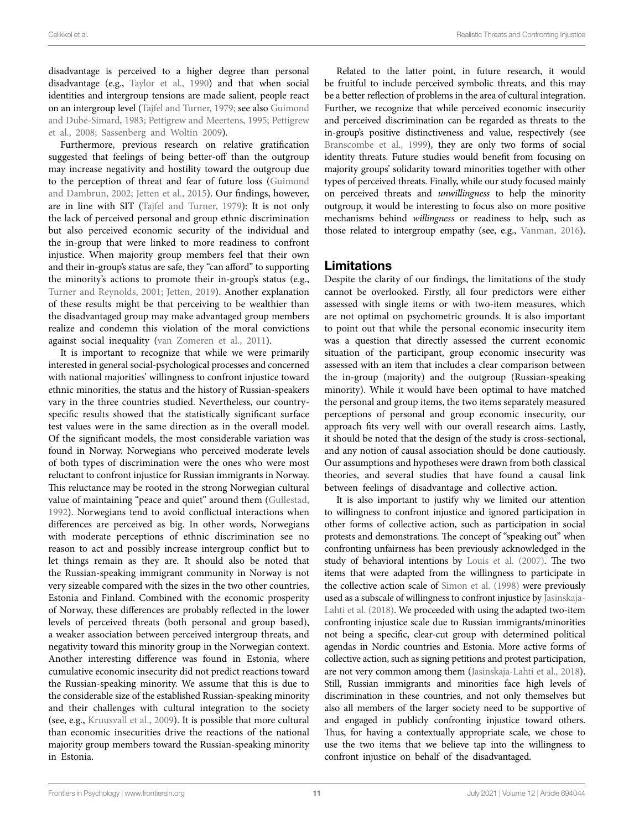disadvantage is perceived to a higher degree than personal disadvantage (e.g., Taylor et al., 1990) and that when social identities and intergroup tensions are made salient, people react on an intergroup level (Tajfel and Turner, 1979; see also Guimond and Dubé-Simard, 1983; Pettigrew and Meertens, 1995; Pettigrew et al., 2008; Sassenberg and Woltin 2009).

Furthermore, previous research on relative gratification suggested that feelings of being better-off than the outgroup may increase negativity and hostility toward the outgroup due to the perception of threat and fear of future loss (Guimond and Dambrun, 2002; Jetten et al., 2015). Our findings, however, are in line with SIT (Tajfel and Turner, 1979): It is not only the lack of perceived personal and group ethnic discrimination but also perceived economic security of the individual and the in-group that were linked to more readiness to confront injustice. When majority group members feel that their own and their in-group's status are safe, they "can afford" to supporting the minority's actions to promote their in-group's status (e.g., Turner and Reynolds, 2001; Jetten, 2019). Another explanation of these results might be that perceiving to be wealthier than the disadvantaged group may make advantaged group members realize and condemn this violation of the moral convictions against social inequality (van Zomeren et al., 2011).

It is important to recognize that while we were primarily interested in general social-psychological processes and concerned with national majorities' willingness to confront injustice toward ethnic minorities, the status and the history of Russian-speakers vary in the three countries studied. Nevertheless, our countryspecific results showed that the statistically significant surface test values were in the same direction as in the overall model. Of the significant models, the most considerable variation was found in Norway. Norwegians who perceived moderate levels of both types of discrimination were the ones who were most reluctant to confront injustice for Russian immigrants in Norway. This reluctance may be rooted in the strong Norwegian cultural value of maintaining "peace and quiet" around them (Gullestad, 1992). Norwegians tend to avoid conflictual interactions when differences are perceived as big. In other words, Norwegians with moderate perceptions of ethnic discrimination see no reason to act and possibly increase intergroup conflict but to let things remain as they are. It should also be noted that the Russian-speaking immigrant community in Norway is not very sizeable compared with the sizes in the two other countries, Estonia and Finland. Combined with the economic prosperity of Norway, these differences are probably reflected in the lower levels of perceived threats (both personal and group based), a weaker association between perceived intergroup threats, and negativity toward this minority group in the Norwegian context. Another interesting difference was found in Estonia, where cumulative economic insecurity did not predict reactions toward the Russian-speaking minority. We assume that this is due to the considerable size of the established Russian-speaking minority and their challenges with cultural integration to the society (see, e.g., Kruusvall et al., 2009). It is possible that more cultural than economic insecurities drive the reactions of the national majority group members toward the Russian-speaking minority in Estonia.

Related to the latter point, in future research, it would be fruitful to include perceived symbolic threats, and this may be a better reflection of problems in the area of cultural integration. Further, we recognize that while perceived economic insecurity and perceived discrimination can be regarded as threats to the in-group's positive distinctiveness and value, respectively (see Branscombe et al., 1999), they are only two forms of social identity threats. Future studies would benefit from focusing on majority groups' solidarity toward minorities together with other types of perceived threats. Finally, while our study focused mainly on perceived threats and *unwillingness* to help the minority outgroup, it would be interesting to focus also on more positive mechanisms behind *willingness* or readiness to help, such as those related to intergroup empathy (see, e.g., Vanman, 2016).

#### Limitations

Despite the clarity of our findings, the limitations of the study cannot be overlooked. Firstly, all four predictors were either assessed with single items or with two-item measures, which are not optimal on psychometric grounds. It is also important to point out that while the personal economic insecurity item was a question that directly assessed the current economic situation of the participant, group economic insecurity was assessed with an item that includes a clear comparison between the in-group (majority) and the outgroup (Russian-speaking minority). While it would have been optimal to have matched the personal and group items, the two items separately measured perceptions of personal and group economic insecurity, our approach fits very well with our overall research aims. Lastly, it should be noted that the design of the study is cross-sectional, and any notion of causal association should be done cautiously. Our assumptions and hypotheses were drawn from both classical theories, and several studies that have found a causal link between feelings of disadvantage and collective action.

It is also important to justify why we limited our attention to willingness to confront injustice and ignored participation in other forms of collective action, such as participation in social protests and demonstrations. The concept of "speaking out" when confronting unfairness has been previously acknowledged in the study of behavioral intentions by Louis et al. (2007). The two items that were adapted from the willingness to participate in the collective action scale of Simon et al. (1998) were previously used as a subscale of willingness to confront injustice by Jasinskaja-Lahti et al. (2018). We proceeded with using the adapted two-item confronting injustice scale due to Russian immigrants/minorities not being a specific, clear-cut group with determined political agendas in Nordic countries and Estonia. More active forms of collective action, such as signing petitions and protest participation, are not very common among them (Jasinskaja-Lahti et al., 2018). Still, Russian immigrants and minorities face high levels of discrimination in these countries, and not only themselves but also all members of the larger society need to be supportive of and engaged in publicly confronting injustice toward others. Thus, for having a contextually appropriate scale, we chose to use the two items that we believe tap into the willingness to confront injustice on behalf of the disadvantaged.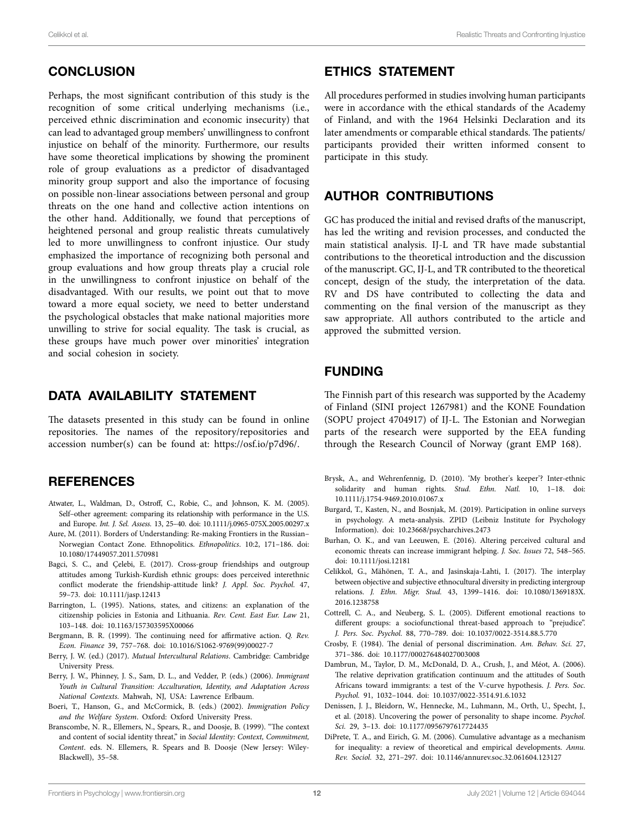# **CONCLUSION**

Perhaps, the most significant contribution of this study is the recognition of some critical underlying mechanisms (i.e., perceived ethnic discrimination and economic insecurity) that can lead to advantaged group members' unwillingness to confront injustice on behalf of the minority. Furthermore, our results have some theoretical implications by showing the prominent role of group evaluations as a predictor of disadvantaged minority group support and also the importance of focusing on possible non-linear associations between personal and group threats on the one hand and collective action intentions on the other hand. Additionally, we found that perceptions of heightened personal and group realistic threats cumulatively led to more unwillingness to confront injustice. Our study emphasized the importance of recognizing both personal and group evaluations and how group threats play a crucial role in the unwillingness to confront injustice on behalf of the disadvantaged. With our results, we point out that to move toward a more equal society, we need to better understand the psychological obstacles that make national majorities more unwilling to strive for social equality. The task is crucial, as these groups have much power over minorities' integration and social cohesion in society.

# DATA AVAILABILITY STATEMENT

The datasets presented in this study can be found in online repositories. The names of the repository/repositories and accession number(s) can be found at: <https://osf.io/p7d96/>.

## **REFERENCES**

- Atwater, L., Waldman, D., Ostroff, C., Robie, C., and Johnson, K. M. (2005). Self–other agreement: comparing its relationship with performance in the U.S. and Europe. *Int. J. Sel. Assess.* 13, 25–40. doi: [10.1111/j.0965-075X.2005.00297.x](https://doi.org/10.1111/j.0965-075X.2005.00297.x)
- Aure, M. (2011). Borders of Understanding: Re-making Frontiers in the Russian– Norwegian Contact Zone. Ethnopolitics. *Ethnopolitics*. 10:2, 171–186. doi: [10.1080/17449057.2011.570981](https://doi.org/10.1080/17449057.2011.570981)
- Bagci, S. C., and Çelebi, E. (2017). Cross-group friendships and outgroup attitudes among Turkish-Kurdish ethnic groups: does perceived interethnic conflict moderate the friendship-attitude link? *J. Appl. Soc. Psychol.* 47, 59–73. doi: [10.1111/jasp.12413](https://doi.org/10.1111/jasp.12413)
- Barrington, L. (1995). Nations, states, and citizens: an explanation of the citizenship policies in Estonia and Lithuania. *Rev. Cent. East Eur. Law* 21, 103–148. doi: [10.1163/157303595X00066](https://doi.org/10.1163/157303595X00066)
- Bergmann, B. R. (1999). The continuing need for affirmative action. *Q. Rev. Econ. Finance* 39, 757–768. doi: [10.1016/S1062-9769\(99\)00027-7](https://doi.org/10.1016/S1062-9769(99)00027-7)
- Berry, J. W. (ed.) (2017). *Mutual Intercultural Relations*. Cambridge: Cambridge University Press.
- Berry, J. W., Phinney, J. S., Sam, D. L., and Vedder, P. (eds.) (2006). *Immigrant Youth in Cultural Transition: Acculturation, Identity, and Adaptation Across National Contexts*. Mahwah, NJ, USA: Lawrence Erlbaum.
- Boeri, T., Hanson, G., and McCormick, B. (eds.) (2002). *Immigration Policy and the Welfare System*. Oxford: Oxford University Press.
- Branscombe, N. R., Ellemers, N., Spears, R., and Doosje, B. (1999). "The context and content of social identity threat," in *Social Identity: Context, Commitment, Content*. eds. N. Ellemers, R. Spears and B. Doosje (New Jersey: Wiley-Blackwell), 35–58.

## ETHICS STATEMENT

All procedures performed in studies involving human participants were in accordance with the ethical standards of the Academy of Finland, and with the 1964 Helsinki Declaration and its later amendments or comparable ethical standards. The patients/ participants provided their written informed consent to participate in this study.

# AUTHOR CONTRIBUTIONS

GC has produced the initial and revised drafts of the manuscript, has led the writing and revision processes, and conducted the main statistical analysis. IJ-L and TR have made substantial contributions to the theoretical introduction and the discussion of the manuscript. GC, IJ-L, and TR contributed to the theoretical concept, design of the study, the interpretation of the data. RV and DS have contributed to collecting the data and commenting on the final version of the manuscript as they saw appropriate. All authors contributed to the article and approved the submitted version.

# FUNDING

The Finnish part of this research was supported by the Academy of Finland (SINI project 1267981) and the KONE Foundation (SOPU project 4704917) of IJ-L. The Estonian and Norwegian parts of the research were supported by the EEA funding through the Research Council of Norway (grant EMP 168).

- Brysk, A., and Wehrenfennig, D. (2010). 'My brother's keeper'? Inter-ethnic solidarity and human rights. *Stud. Ethn. Natl.* 10, 1–18. doi: [10.1111/j.1754-9469.2010.01067.x](https://doi.org/10.1111/j.1754-9469.2010.01067.x)
- Burgard, T., Kasten, N., and Bosnjak, M. (2019). Participation in online surveys in psychology. A meta-analysis. ZPID (Leibniz Institute for Psychology Information). doi: [10.23668/psycharchives.2473](https://doi.org/10.23668/psycharchives.2473)
- Burhan, O. K., and van Leeuwen, E. (2016). Altering perceived cultural and economic threats can increase immigrant helping. *J. Soc. Issues* 72, 548–565. doi: [10.1111/josi.12181](https://doi.org/10.1111/josi.12181)
- Celikkol, G., Mähönen, T. A., and Jasinskaja-Lahti, I. (2017). The interplay between objective and subjective ethnocultural diversity in predicting intergroup relations. *J. Ethn. Migr. Stud.* 43, 1399–1416. doi: [10.1080/1369183X.](https://doi.org/10.1080/1369183X.2016.1238758) [2016.1238758](https://doi.org/10.1080/1369183X.2016.1238758)
- Cottrell, C. A., and Neuberg, S. L. (2005). Different emotional reactions to different groups: a sociofunctional threat-based approach to "prejudice". *J. Pers. Soc. Psychol.* 88, 770–789. doi: [10.1037/0022-3514.88.5.770](https://doi.org/10.1037/0022-3514.88.5.770)
- Crosby, F. (1984). The denial of personal discrimination. *Am. Behav. Sci.* 27, 371–386. doi: [10.1177/000276484027003008](https://doi.org/10.1177/000276484027003008)
- Dambrun, M., Taylor, D. M., McDonald, D. A., Crush, J., and Méot, A. (2006). The relative deprivation gratification continuum and the attitudes of South Africans toward immigrants: a test of the V-curve hypothesis. *J. Pers. Soc. Psychol.* 91, 1032–1044. doi: [10.1037/0022-3514.91.6.1032](https://doi.org/10.1037/0022-3514.91.6.1032)
- Denissen, J. J., Bleidorn, W., Hennecke, M., Luhmann, M., Orth, U., Specht, J., et al. (2018). Uncovering the power of personality to shape income. *Psychol. Sci.* 29, 3–13. doi: [10.1177/0956797617724435](https://doi.org/10.1177/0956797617724435)
- DiPrete, T. A., and Eirich, G. M. (2006). Cumulative advantage as a mechanism for inequality: a review of theoretical and empirical developments. *Annu. Rev. Sociol.* 32, 271–297. doi: [10.1146/annurev.soc.32.061604.123127](https://doi.org/10.1146/annurev.soc.32.061604.123127)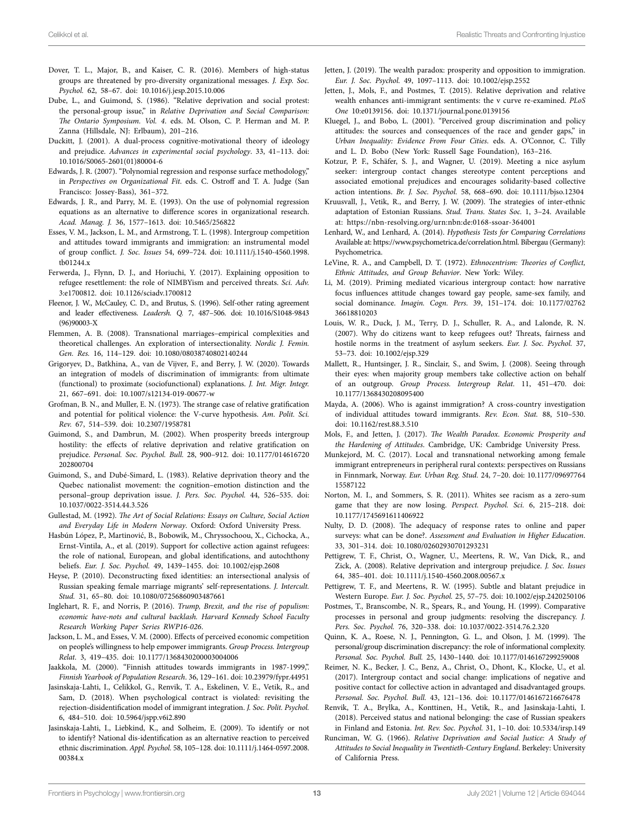- Dover, T. L., Major, B., and Kaiser, C. R. (2016). Members of high-status groups are threatened by pro-diversity organizational messages. *J. Exp. Soc. Psychol.* 62, 58–67. doi: [10.1016/j.jesp.2015.10.006](https://doi.org/10.1016/j.jesp.2015.10.006)
- Dube, L., and Guimond, S. (1986). "Relative deprivation and social protest: the personal-group issue," in *Relative Deprivation and Social Comparison: The Ontario Symposium. Vol. 4*. eds. M. Olson, C. P. Herman and M. P. Zanna (Hillsdale, NJ: Erlbaum), 201–216.
- Duckitt, J. (2001). A dual-process cognitive-motivational theory of ideology and prejudice. *Advances in experimental social psychology*. 33, 41–113. doi: [10.1016/S0065-2601\(01\)80004-6](https://doi.org/10.1016/S0065-2601(01)80004-6)
- Edwards, J. R. (2007). "Polynomial regression and response surface methodology," in *Perspectives on Organizational Fit*. eds. C. Ostroff and T. A. Judge (San Francisco: Jossey-Bass), 361–372.
- Edwards, J. R., and Parry, M. E. (1993). On the use of polynomial regression equations as an alternative to difference scores in organizational research. *Acad. Manag. J.* 36, 1577–1613. doi: [10.5465/256822](https://doi.org/10.5465/256822)
- Esses, V. M., Jackson, L. M., and Armstrong, T. L. (1998). Intergroup competition and attitudes toward immigrants and immigration: an instrumental model of group conflict. *J. Soc. Issues* 54, 699–724. doi: [10.1111/j.1540-4560.1998.](https://doi.org/10.1111/j.1540-4560.1998.tb01244.x) [tb01244.x](https://doi.org/10.1111/j.1540-4560.1998.tb01244.x)
- Ferwerda, J., Flynn, D. J., and Horiuchi, Y. (2017). Explaining opposition to refugee resettlement: the role of NIMBYism and perceived threats. *Sci. Adv.* 3:e1700812. doi: [10.1126/sciadv.1700812](https://doi.org/10.1126/sciadv.1700812)
- Fleenor, J. W., McCauley, C. D., and Brutus, S. (1996). Self-other rating agreement and leader effectiveness. *Leadersh. Q.* 7, 487–506. doi: [10.1016/S1048-9843](https://doi.org/10.1016/S1048-9843(96)90003-X) [\(96\)90003-X](https://doi.org/10.1016/S1048-9843(96)90003-X)
- Flemmen, A. B. (2008). Transnational marriages–empirical complexities and theoretical challenges. An exploration of intersectionality. *Nordic J. Femin. Gen. Res.* 16, 114–129. doi: [10.1080/08038740802140244](https://doi.org/10.1080/08038740802140244)
- Grigoryev, D., Batkhina, A., van de Vijver, F., and Berry, J. W. (2020). Towards an integration of models of discrimination of immigrants: from ultimate (functional) to proximate (sociofunctional) explanations. *J. Int. Migr. Integr.* 21, 667–691. doi: [10.1007/s12134-019-00677-w](https://doi.org/10.1007/s12134-019-00677-w)
- Grofman, B. N., and Muller, E. N. (1973). The strange case of relative gratification and potential for political violence: the V-curve hypothesis. *Am. Polit. Sci. Rev.* 67, 514–539. doi: [10.2307/1958781](https://doi.org/10.2307/1958781)
- Guimond, S., and Dambrun, M. (2002). When prosperity breeds intergroup hostility: the effects of relative deprivation and relative gratification on prejudice. *Personal. Soc. Psychol. Bull.* 28, 900–912. doi: [10.1177/014616720](https://doi.org/10.1177/014616720202800704) [202800704](https://doi.org/10.1177/014616720202800704)
- Guimond, S., and Dubé-Simard, L. (1983). Relative deprivation theory and the Quebec nationalist movement: the cognition–emotion distinction and the personal–group deprivation issue. *J. Pers. Soc. Psychol.* 44, 526–535. doi: [10.1037/0022-3514.44.3.526](https://doi.org/10.1037/0022-3514.44.3.526)
- Gullestad, M. (1992). *The Art of Social Relations: Essays on Culture, Social Action and Everyday Life in Modern Norway*. Oxford: Oxford University Press.
- Hasbún López, P., Martinović, B., Bobowik, M., Chryssochoou, X., Cichocka, A., Ernst-Vintila, A., et al. (2019). Support for collective action against refugees: the role of national, European, and global identifications, and autochthony beliefs. *Eur. J. Soc. Psychol.* 49, 1439–1455. doi: [10.1002/ejsp.2608](https://doi.org/10.1002/ejsp.2608)
- Heyse, P. (2010). Deconstructing fixed identities: an intersectional analysis of Russian speaking female marriage migrants' self-representations. *J. Intercult. Stud.* 31, 65–80. doi: [10.1080/07256860903487661](https://doi.org/10.1080/07256860903487661)
- Inglehart, R. F., and Norris, P. (2016). *Trump, Brexit, and the rise of populism: economic have-nots and cultural backlash. Harvard Kennedy School Faculty Research Working Paper Series RWP16-026*.
- Jackson, L. M., and Esses, V. M. (2000). Effects of perceived economic competition on people's willingness to help empower immigrants. *Group Process. Intergroup Relat.* 3, 419–435. doi: [10.1177/1368430200003004006](https://doi.org/10.1177/1368430200003004006)
- Jaakkola, M. (2000). "Finnish attitudes towards immigrants in 1987-1999,". *Finnish Yearbook of Population Research*. 36, 129–161. doi: [10.23979/fypr.44951](https://doi.org/10.23979/fypr.44951)
- Jasinskaja-Lahti, I., Celikkol, G., Renvik, T. A., Eskelinen, V. E., Vetik, R., and Sam, D. (2018). When psychological contract is violated: revisiting the rejection-disidentification model of immigrant integration. *J. Soc. Polit. Psychol.* 6, 484–510. doi: [10.5964/jspp.v6i2.890](https://doi.org/10.5964/jspp.v6i2.890)
- Jasinskaja-Lahti, I., Liebkind, K., and Solheim, E. (2009). To identify or not to identify? National dis-identification as an alternative reaction to perceived ethnic discrimination. *Appl. Psychol.* 58, 105–128. doi: [10.1111/j.1464-0597.2008.](https://doi.org/10.1111/j.1464-0597.2008.00384.x) [00384.x](https://doi.org/10.1111/j.1464-0597.2008.00384.x)
- Jetten, J. (2019). The wealth paradox: prosperity and opposition to immigration. *Eur. J. Soc. Psychol.* 49, 1097–1113. doi: [10.1002/ejsp.2552](https://doi.org/10.1002/ejsp.2552)
- Jetten, J., Mols, F., and Postmes, T. (2015). Relative deprivation and relative wealth enhances anti-immigrant sentiments: the v curve re-examined. *PLoS One* 10:e0139156. doi: [10.1371/journal.pone.0139156](https://doi.org/10.1371/journal.pone.0139156)
- Kluegel, J., and Bobo, L. (2001). "Perceived group discrimination and policy attitudes: the sources and consequences of the race and gender gaps," in *Urban Inequality: Evidence From Four Cities*. eds. A. O'Connor, C. Tilly and L. D. Bobo (New York: Russell Sage Foundation), 163–216.
- Kotzur, P. F., Schäfer, S. J., and Wagner, U. (2019). Meeting a nice asylum seeker: intergroup contact changes stereotype content perceptions and associated emotional prejudices and encourages solidarity-based collective action intentions. *Br. J. Soc. Psychol.* 58, 668–690. doi: [10.1111/bjso.12304](https://doi.org/10.1111/bjso.12304)
- Kruusvall, J., Vetik, R., and Berry, J. W. (2009). The strategies of inter-ethnic adaptation of Estonian Russians. *Stud. Trans. States Soc.* 1, 3–24. Available at: <https://nbn-resolving.org/urn:nbn:de:0168-ssoar-364001>
- Lenhard, W., and Lenhard, A. (2014). *Hypothesis Tests for Comparing Correlations* Available at: <https://www.psychometrica.de/correlation.html>. Bibergau (Germany): Psychometrica.
- LeVine, R. A., and Campbell, D. T. (1972). *Ethnocentrism: Theories of Conflict, Ethnic Attitudes, and Group Behavior*. New York: Wiley.
- Li, M. (2019). Priming mediated vicarious intergroup contact: how narrative focus influences attitude changes toward gay people, same-sex family, and social dominance. *Imagin. Cogn. Pers.* 39, 151–174. doi: [10.1177/02762](https://doi.org/10.1177/0276236618810203) [36618810203](https://doi.org/10.1177/0276236618810203)
- Louis, W. R., Duck, J. M., Terry, D. J., Schuller, R. A., and Lalonde, R. N. (2007). Why do citizens want to keep refugees out? Threats, fairness and hostile norms in the treatment of asylum seekers. *Eur. J. Soc. Psychol.* 37, 53–73. doi: [10.1002/ejsp.329](https://doi.org/10.1002/ejsp.329)
- Mallett, R., Huntsinger, J. R., Sinclair, S., and Swim, J. (2008). Seeing through their eyes: when majority group members take collective action on behalf of an outgroup. *Group Process. Intergroup Relat.* 11, 451–470. doi: [10.1177/1368430208095400](https://doi.org/10.1177/1368430208095400)
- Mayda, A. (2006). Who is against immigration? A cross-country investigation of individual attitudes toward immigrants. *Rev. Econ. Stat.* 88, 510–530. doi: [10.1162/rest.88.3.510](https://doi.org/10.1162/rest.88.3.510)
- Mols, F., and Jetten, J. (2017). *The Wealth Paradox. Economic Prosperity and the Hardening of Attitudes*. Cambridge, UK: Cambridge University Press.
- Munkejord, M. C. (2017). Local and transnational networking among female immigrant entrepreneurs in peripheral rural contexts: perspectives on Russians in Finnmark, Norway. *Eur. Urban Reg. Stud.* 24, 7–20. doi: [10.1177/09697764](https://doi.org/10.1177/0969776415587122) [15587122](https://doi.org/10.1177/0969776415587122)
- Norton, M. I., and Sommers, S. R. (2011). Whites see racism as a zero-sum game that they are now losing. *Perspect. Psychol. Sci.* 6, 215–218. doi: [10.1177/1745691611406922](https://doi.org/10.1177/1745691611406922)
- Nulty, D. D. (2008). The adequacy of response rates to online and paper surveys: what can be done?. *Assessment and Evaluation in Higher Education*. 33, 301–314. doi: [10.1080/02602930701293231](https://doi.org/10.1080/02602930701293231)
- Pettigrew, T. F., Christ, O., Wagner, U., Meertens, R. W., Van Dick, R., and Zick, A. (2008). Relative deprivation and intergroup prejudice. *J. Soc. Issues* 64, 385–401. doi: [10.1111/j.1540-4560.2008.00567.x](https://doi.org/10.1111/j.1540-4560.2008.00567.x)
- Pettigrew, T. F., and Meertens, R. W. (1995). Subtle and blatant prejudice in Western Europe. *Eur. J. Soc. Psychol.* 25, 57–75. doi: [10.1002/ejsp.2420250106](https://doi.org/10.1002/ejsp.2420250106)
- Postmes, T., Branscombe, N. R., Spears, R., and Young, H. (1999). Comparative processes in personal and group judgments: resolving the discrepancy. *J. Pers. Soc. Psychol.* 76, 320–338. doi: [10.1037/0022-3514.76.2.320](https://doi.org/10.1037/0022-3514.76.2.320)
- Quinn, K. A., Roese, N. J., Pennington, G. L., and Olson, J. M. (1999). The personal/group discrimination discrepancy: the role of informational complexity. *Personal. Soc. Psychol. Bull.* 25, 1430–1440. doi: [10.1177/0146167299259008](https://doi.org/10.1177/0146167299259008)
- Reimer, N. K., Becker, J. C., Benz, A., Christ, O., Dhont, K., Klocke, U., et al. (2017). Intergroup contact and social change: implications of negative and positive contact for collective action in advantaged and disadvantaged groups. *Personal. Soc. Psychol. Bull.* 43, 121–136. doi: [10.1177/0146167216676478](https://doi.org/10.1177/0146167216676478)
- Renvik, T. A., Brylka, A., Konttinen, H., Vetik, R., and Jasinskaja-Lahti, I. (2018). Perceived status and national belonging: the case of Russian speakers in Finland and Estonia. *Int. Rev. Soc. Psychol.* 31, 1–10. doi: [10.5334/irsp.149](https://doi.org/10.5334/irsp.149)
- Runciman, W. G. (1966). *Relative Deprivation and Social Justice: A Study of Attitudes to Social Inequality in Twentieth-Century England*. Berkeley: University of California Press.